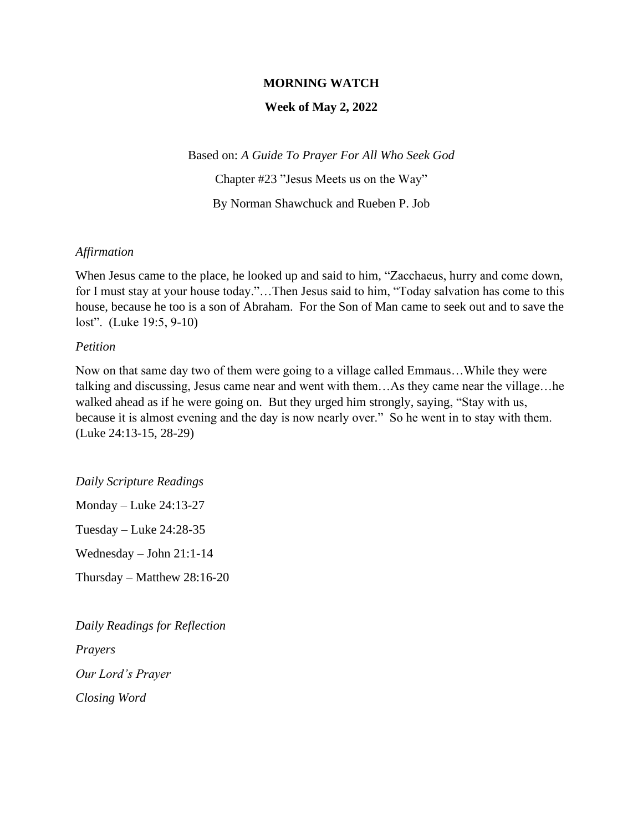### **MORNING WATCH**

#### **Week of May 2, 2022**

Based on: *A Guide To Prayer For All Who Seek God* Chapter #23 "Jesus Meets us on the Way" By Norman Shawchuck and Rueben P. Job

#### *Affirmation*

When Jesus came to the place, he looked up and said to him, "Zacchaeus, hurry and come down, for I must stay at your house today."…Then Jesus said to him, "Today salvation has come to this house, because he too is a son of Abraham. For the Son of Man came to seek out and to save the lost". (Luke 19:5, 9-10)

#### *Petition*

Now on that same day two of them were going to a village called Emmaus…While they were talking and discussing, Jesus came near and went with them…As they came near the village…he walked ahead as if he were going on. But they urged him strongly, saying, "Stay with us, because it is almost evening and the day is now nearly over." So he went in to stay with them. (Luke 24:13-15, 28-29)

*Daily Scripture Readings* Monday – Luke 24:13-27 Tuesday – Luke 24:28-35 Wednesday – John 21:1-14 Thursday – Matthew 28:16-20

*Daily Readings for Reflection Prayers Our Lord's Prayer Closing Word*